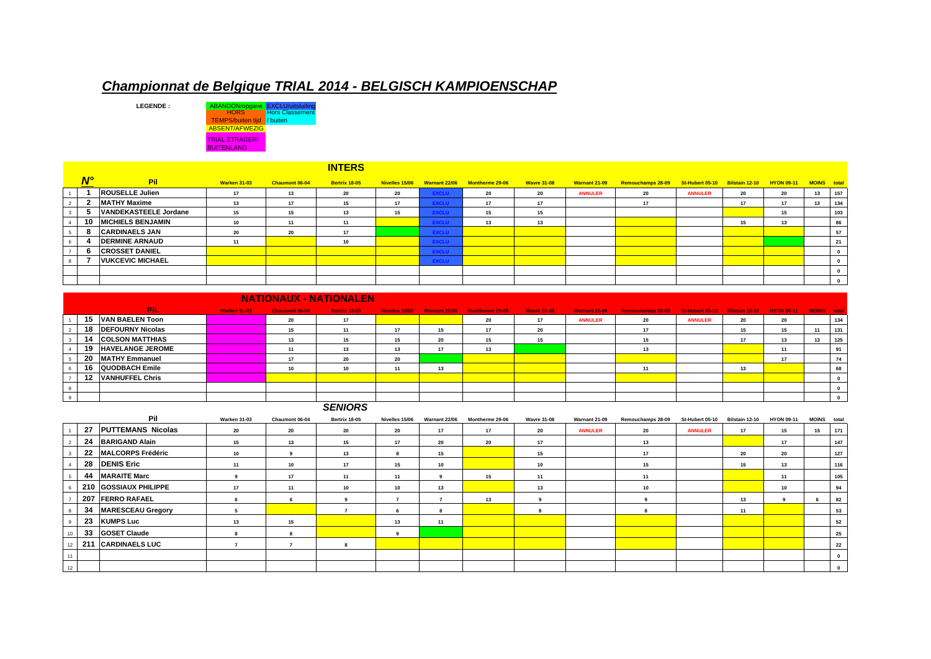## *Championnat de Belgique TRIAL 2014 - BELGISCH KAMPIOENSCHAP*

**LEGENDE :**

 ABANDON/opgave EXCLU/uitsluiting HORS Hors Classement <mark>\_TEMPS/buiten tijd \_</mark>/ buiten<br><mark>ABSENT/AFWEZIG</mark> TRIAL ETRAGER/ BUITENLAND

## **INTERS**

*SENIORS*

| 71° | Pil                          | <b>Warken 31-03</b> | <b>Chaumont 06-04</b> | Bertrix 18-05 | Nivelles 15/06 | Warnant 22/06 | Montherme 29-06 | <b>Wavre 31-08</b> | <b>Warnant 21-09</b> | <b>Remouchamps 28-09</b> | St-Hubert 05-10 Bilstain 12-10 HYON 09-11 |    |    | <b>MOINS</b> total |     |
|-----|------------------------------|---------------------|-----------------------|---------------|----------------|---------------|-----------------|--------------------|----------------------|--------------------------|-------------------------------------------|----|----|--------------------|-----|
|     | <b>ROUSELLE Julien</b>       | 17                  | 13                    | 20            | 20             |               | 20              | 20                 | <b>ANNULER</b>       | 20                       | <b>ANNULER</b>                            | 20 | 20 | 13                 | 157 |
|     | <b>MATHY Maxime</b>          | 13                  | 17                    | 15            |                |               |                 | 17                 |                      | 17                       |                                           |    | 17 | 13                 | 134 |
|     | <b>VANDEKASTEELE Jordane</b> | 15                  | 15                    | 13            | 15             | <b>EXCLU</b>  | 15              | 15                 |                      |                          |                                           |    | 15 |                    | 103 |
| 10  | <b>MICHIELS BENJAMIN</b>     | 10                  | 11                    | 11            |                | <b>EXCLU</b>  | 13              | 13                 |                      |                          |                                           | 15 | 13 |                    | 86  |
| 8   | <b>CARDINAELS JAN</b>        | 20                  | 20                    | 17            |                | <b>EXCLU</b>  |                 |                    |                      |                          |                                           |    |    |                    | 57  |
|     | <b>DERMINE ARNAUD</b>        | 11                  |                       | 10            |                | <b>EXCLU</b>  |                 |                    |                      |                          |                                           |    |    |                    | 21  |
| 6   | <b>CROSSET DANIEL</b>        |                     |                       |               |                | <b>EXCLU</b>  |                 |                    |                      |                          |                                           |    |    |                    |     |
|     | <b>VUKCEVIC MICHAEL</b>      |                     |                       |               |                | <b>EXCLU</b>  |                 |                    |                      |                          |                                           |    |    |                    |     |
|     |                              |                     |                       |               |                |               |                 |                    |                      |                          |                                           |    |    |                    |     |
|     |                              |                     |                       |               |                |               |                 |                    |                      |                          |                                           |    |    |                    |     |

|    |                         |                     |                       | <b>NATIONAUX - NATIONALEN</b> |    |                              |                 |                    |                      |                          |                                                       |    |    |    |     |
|----|-------------------------|---------------------|-----------------------|-------------------------------|----|------------------------------|-----------------|--------------------|----------------------|--------------------------|-------------------------------------------------------|----|----|----|-----|
|    | <b>PiL</b>              | <b>Warken 31-03</b> | <b>Chaumont 06-04</b> | <b>Bertrix 18-05</b>          |    | Nivelles 15/06 Warnant 22/06 | Montherme 29-06 | <b>Wavre 31-08</b> | <b>Warnant 21-09</b> | <b>Remouchamps 28-09</b> | St-Hubert 05-10 Bilstain 12-10 HYON 09-11 MOINS total |    |    |    |     |
| 15 | <b>VAN BAELEN Toon</b>  |                     | 20                    | 17                            |    |                              | 20              |                    | <b>ANNULER</b>       | 20                       | <b>ANNULER</b>                                        | 20 | 20 |    | 134 |
| 18 | <b>DEFOURNY Nicolas</b> |                     | 15                    | 11                            | 17 | 15                           | 17              | 20                 |                      | 17                       |                                                       | 15 | 15 | 11 | 131 |
| 14 | <b>COLSON MATTHIAS</b>  |                     | 13                    | 15                            | 15 | 20                           | 15              | 15                 |                      | 15                       |                                                       |    | 13 | 13 | 125 |
| 19 | <b>HAVELANGE JEROME</b> |                     |                       | 13                            | 13 | 17                           | 13              |                    |                      | 13                       |                                                       |    | 11 |    | 91  |
| 20 | <b>MATHY Emmanuel</b>   |                     | 17                    | 20                            | 20 |                              |                 |                    |                      |                          |                                                       |    | 17 |    | 74  |
| 16 | QUODBACH Emile          |                     | 10                    | 10                            | 11 | 13                           |                 |                    |                      | 11                       |                                                       | 13 |    |    |     |
| 12 | <b>VANHUFFEL Chris</b>  |                     |                       |                               |    |                              |                 |                    |                      |                          |                                                       |    |    |    |     |
|    |                         |                     |                       |                               |    |                              |                 |                    |                      |                          |                                                       |    |    |    |     |
|    |                         |                     |                       |                               |    |                              |                 |                    |                      |                          |                                                       |    |    |    |     |

|                 | Pil                   | <b>Warken 31-03</b> | Chaumont 06-04 | <b>Bertrix 18-05</b> | Nivelles 15/06 | Warnant 22/06 | Montherme 29-06 | <b>Wavre 31-08</b> | Warnant 21-09  | Remouchamps 28-09 | St-Hubert 05-10 | Bilstain 12-10 | <b>HYON 09-11</b> | MOINS total |     |
|-----------------|-----------------------|---------------------|----------------|----------------------|----------------|---------------|-----------------|--------------------|----------------|-------------------|-----------------|----------------|-------------------|-------------|-----|
|                 | 27 PUTTEMANS Nicolas  | 20                  | 20             | 20                   | 20             | 17            | 17              | 20                 | <b>ANNULER</b> | 20                | <b>ANNULER</b>  | 17             | 15                | 15          | 171 |
|                 | 24 BARIGAND Alain     | 15                  | 13             | 15                   | 17             | 20            | 20              | 17                 |                | 13                |                 |                | 17                |             | 147 |
|                 | 22 MALCORPS Frédéric  | 10                  |                | 13                   |                | 15            |                 | 15                 |                | 17                |                 | 20             | 20                |             | 127 |
|                 | 28 DENIS Eric         | 11                  | 10             | 17                   | 15             | 10            |                 | 10                 |                | 15                |                 | 15             | 13                |             | 116 |
|                 | 44 MARAITE Marc       |                     | 17             | 11                   | 11             |               | 15              | 11                 |                | 11                |                 |                | 11                |             | 105 |
|                 | 210 GOSSIAUX PHILIPPE | 17                  | 11             | 10                   | 10             | 13            |                 | 13                 |                | 10                |                 |                | 10                |             | 94  |
|                 | 207 FERRO RAFAEL      |                     |                |                      | $\overline{ }$ |               | 13              |                    |                |                   |                 | 13             |                   |             | 82  |
|                 | 34 MARESCEAU Gregory  |                     |                |                      |                |               |                 |                    |                |                   |                 | 11             |                   |             | 53  |
|                 | 23 KUMPS Luc          | 13                  | 15             |                      | 13             | 11            |                 |                    |                |                   |                 |                |                   |             | 52  |
| 10 <sub>1</sub> | 33 GOSET Claude       |                     |                |                      |                |               |                 |                    |                |                   |                 |                |                   |             | 25  |
| 12 <sup>1</sup> | 211 CARDINAELS LUC    |                     |                |                      |                |               |                 |                    |                |                   |                 |                |                   |             | 22  |
|                 |                       |                     |                |                      |                |               |                 |                    |                |                   |                 |                |                   |             |     |
| 12              |                       |                     |                |                      |                |               |                 |                    |                |                   |                 |                |                   |             |     |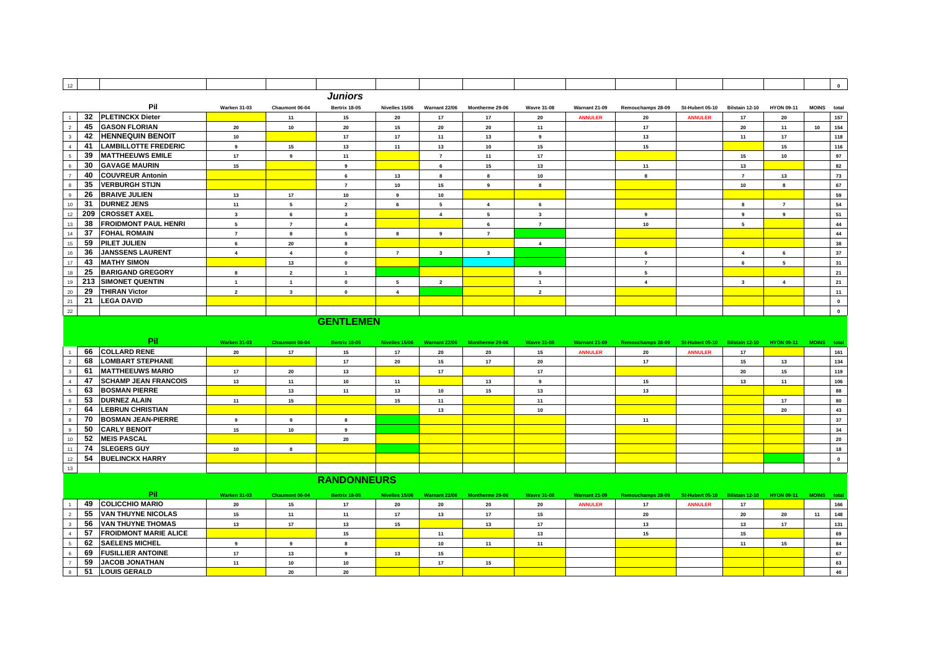| 12                       |     |                              |                         |                         |                      |                |                         |                         |                         |                |                   |                 |                         |                   |              | $\mathbf{0}$  |
|--------------------------|-----|------------------------------|-------------------------|-------------------------|----------------------|----------------|-------------------------|-------------------------|-------------------------|----------------|-------------------|-----------------|-------------------------|-------------------|--------------|---------------|
|                          |     |                              |                         |                         | Juniors              |                |                         |                         |                         |                |                   |                 |                         |                   |              |               |
|                          |     | Pil                          | <b>Warken 31-03</b>     | Chaumont 06-04          | Bertrix 18-05        | Nivelles 15/06 | Warnant 22/06           | Montherme 29-06         | <b>Wavre 31-08</b>      | Warnant 21-09  | Remouchamps 28-09 | St-Hubert 05-10 | Bilstain 12-10          | <b>HYON 09-11</b> | <b>MOINS</b> | total         |
|                          |     | 32 PLETINCKX Dieter          |                         | 11                      | 15                   | 20             | 17                      | 17                      | 20                      | <b>ANNULER</b> | 20                | <b>ANNULER</b>  | 17                      | 20                |              | 157           |
| $\overline{2}$           | 45  | <b>GASON FLORIAN</b>         | 20                      | 10                      | 20                   | 15             | 20                      | 20                      | 11                      |                | 17                |                 | 20                      | 11                | 10           | 154           |
| $\overline{\mathbf{3}}$  | 42  | <b>HENNEQUIN BENOIT</b>      | ${\bf 10}$              |                         | $17$                 | 17             | 11                      | 13                      | 9                       |                | 13                |                 | 11                      | 17                |              | 118           |
| $\overline{4}$           | 41  | <b>LAMBILLOTTE FREDERIC</b>  | $\mathbf{g}$            | 15                      | 13                   | 11             | 13                      | 10                      | 15                      |                | 15                |                 |                         | 15                |              | 116           |
| $\overline{5}$           | 39  | <b>MATTHEEUWS EMILE</b>      | 17                      | $_{9}$                  | 11                   |                | $\overline{7}$          | 11                      | 17                      |                |                   |                 | 15                      | 10                |              | 97            |
| $6\overline{6}$          | 30  | <b>GAVAGE MAURIN</b>         | 15                      |                         | $\overline{9}$       |                | 6                       | 15                      | 13                      |                | 11                |                 | 13                      |                   |              | 82            |
| $\overline{7}$           | 40  | <b>COUVREUR Antonin</b>      |                         |                         | $6\phantom{.0}$      | 13             | 8                       | $\bf{8}$                | $10\,$                  |                | $\bf{8}$          |                 | $\overline{7}$          | 13                |              | 73            |
| $\overline{\phantom{a}}$ | 35  | <b>VERBURGH STIJN</b>        |                         |                         | $\overline{7}$       | 10             | 15                      | 9                       | $\bf{8}$                |                |                   |                 | 10                      | 8                 |              | 67            |
| $_{9}$                   | 26  | <b>BRAIVE JULIEN</b>         | 13                      | 17                      | 10                   | 9              | 10                      |                         |                         |                |                   |                 |                         |                   |              | 59            |
| 10                       | 31  | <b>DURNEZ JENS</b>           | 11                      | 5                       | $\overline{2}$       | 6              | ${\bf 5}$               | $\overline{\mathbf{4}}$ | 6                       |                |                   |                 | 8                       | $\overline{7}$    |              | ${\bf 54}$    |
| 12                       | 209 | <b>CROSSET AXEL</b>          | $\mathbf{3}$            | 6                       | $\mathbf{3}$         |                | $\overline{4}$          | ${\bf 5}$               | $\mathbf{3}$            |                | $\overline{9}$    |                 | 9                       | $\overline{9}$    |              | 51            |
| 13                       | 38  | <b>FROIDMONT PAUL HENRI</b>  | $5\overline{5}$         | $\overline{7}$          | $\overline{4}$       |                |                         | 6                       | $\overline{7}$          |                | 10                |                 | 5                       |                   |              | 44            |
| 14                       | 37  | <b>FOHAL ROMAIN</b>          | $\overline{7}$          | 8                       | $5\overline{5}$      | 8              | $\boldsymbol{9}$        | $\overline{7}$          |                         |                |                   |                 |                         |                   |              | 44            |
| 15                       | 59  | <b>PILET JULIEN</b>          | $6\overline{6}$         | 20                      | 8                    |                |                         |                         | $\overline{4}$          |                |                   |                 |                         |                   |              | 38            |
| 16                       | 36  | <b>JANSSENS LAURENT</b>      | $\overline{\mathbf{4}}$ | $\overline{4}$          | $\pmb{0}$            | $\overline{7}$ | $\overline{\mathbf{3}}$ | $\overline{\mathbf{3}}$ |                         |                | $\,$ 6            |                 | $\overline{4}$          | $\bf 6$           |              | 37            |
| 17                       | 43  | <b>MATHY SIMON</b>           |                         | 13                      | $\mathbf 0$          |                |                         |                         |                         |                | $\overline{7}$    |                 | $6\phantom{1}$          | ${\bf 5}$         |              | 31            |
| $18\,$                   | 25  | <b>BARIGAND GREGORY</b>      | 8                       | $\overline{\mathbf{2}}$ | $\overline{1}$       |                |                         |                         | 5                       |                | 5                 |                 |                         |                   |              | $\mathbf{21}$ |
| 19                       | 213 | <b>SIMONET QUENTIN</b>       | $\mathbf{1}$            | $\overline{1}$          | $\mathbf{0}$         | 5              | $\overline{\mathbf{2}}$ |                         | $\mathbf{1}$            |                | $\overline{4}$    |                 | $\overline{\mathbf{3}}$ | $\overline{4}$    |              | $\mathbf{21}$ |
| $20\,$                   | 29  | <b>THIRAN Victor</b>         | $\overline{2}$          | $\overline{\mathbf{3}}$ | $\mathbf 0$          | $\overline{4}$ |                         |                         | $\overline{\mathbf{2}}$ |                |                   |                 |                         |                   |              | 11            |
| 21                       | 21  | <b>LEGA DAVID</b>            |                         |                         |                      |                |                         |                         |                         |                |                   |                 |                         |                   |              | $\mathbf 0$   |
| 22                       |     |                              |                         |                         |                      |                |                         |                         |                         |                |                   |                 |                         |                   |              | $\mathbf{o}$  |
|                          |     |                              |                         |                         | <b>GENTLEMEN</b>     |                |                         |                         |                         |                |                   |                 |                         |                   |              |               |
|                          |     |                              |                         |                         |                      |                |                         |                         |                         |                |                   |                 |                         |                   |              |               |
|                          |     |                              |                         |                         |                      |                |                         |                         |                         |                |                   |                 |                         |                   |              |               |
|                          |     | <b>Pil</b>                   | <b>Warken 31-03</b>     | Chaumont 06-04          | <b>Bertrix 18-05</b> | Nivelles 15/06 | Warnant 22/06           | Montherme 29-06         | <b>Wavre 31-08</b>      | Warnant 21-09  | Remouchamps 28-09 | St-Hubert 05-10 | Bilstain 12-10          | <b>HYON 09-11</b> | <b>MOINS</b> | total         |
|                          | 66  | <b>COLLARD RENE</b>          | 20                      | 17                      | 15                   | 17             | ${\bf 20}$              | 20                      | 15                      | <b>ANNULER</b> | 20                | <b>ANNULER</b>  | $17\,$                  |                   |              | 161           |
| $\overline{2}$           | 68  | <b>LOMBART STEPHANE</b>      |                         |                         | 17                   | 20             | 15                      | 17                      | 20                      |                | 17                |                 | 15                      | 13                |              | 134           |
| $\overline{\mathbf{3}}$  | 61  | <b>MATTHEEUWS MARIO</b>      | 17                      | 20                      | 13                   |                | 17                      |                         | 17                      |                |                   |                 | 20                      | 15                |              | 119           |
| $\overline{4}$           | 47  | <b>SCHAMP JEAN FRANCOIS</b>  | 13                      | 11                      | 10                   | 11             |                         | 13                      | 9                       |                | 15                |                 | 13                      | 11                |              | 106           |
| - 5                      | 63  | <b>BOSMAN PIERRE</b>         |                         | 13                      | 11                   | 13             | 10                      | 15                      | 13                      |                | 13                |                 |                         |                   |              | 88            |
| - 6                      | 53  | <b>DURNEZ ALAIN</b>          | 11                      | 15                      |                      | 15             | 11                      |                         | 11                      |                |                   |                 |                         | 17                |              | 80            |
| $\overline{7}$           | 64  | <b>LEBRUN CHRISTIAN</b>      |                         |                         |                      |                | 13                      |                         | 10                      |                |                   |                 |                         | 20                |              | 43            |
| $\overline{\mathbf{8}}$  | 70  | <b>BOSMAN JEAN-PIERRE</b>    | $\mathbf 9$             | 9                       | 8                    |                |                         |                         |                         |                | 11                |                 |                         |                   |              | 37            |
| $_{9}$                   | 50  | <b>CARLY BENOIT</b>          | 15                      | 10                      | 9                    |                |                         |                         |                         |                |                   |                 |                         |                   |              | 34            |
| 10                       | 52  | <b>MEIS PASCAL</b>           |                         |                         | 20                   |                |                         |                         |                         |                |                   |                 |                         |                   |              | 20            |
| 11                       | 74  | <b>SLEGERS GUY</b>           | 10                      | 8                       |                      |                |                         |                         |                         |                |                   |                 |                         |                   |              | $18\,$        |
| 12                       | 54  | <b>BUELINCKX HARRY</b>       |                         |                         |                      |                |                         |                         |                         |                |                   |                 |                         |                   |              | $\mathbf{0}$  |
| 13                       |     |                              |                         |                         |                      |                |                         |                         |                         |                |                   |                 |                         |                   |              |               |
|                          |     |                              |                         |                         | <b>RANDONNEURS</b>   |                |                         |                         |                         |                |                   |                 |                         |                   |              |               |
|                          |     | Pil                          | Warken 31-03            | Chaumont 06-04          | Bertrix 18-05        | Nivelles 15/06 | Warnant 22/06           | Montherme 29-06         | <b>Wavre 31-08</b>      | Warnant 21-09  | Remouchamps 28-09 | St-Hubert 05-10 | Bilstain 12-10          | <b>HYON 09-11</b> | MOINS total  |               |
|                          | 49  | <b>COLICCHIO MARIO</b>       | ${\bf 20}$              | 15                      | $17$                 | 20             | ${\bf 20}$              | ${\bf 20}$              | 20                      | <b>ANNULER</b> | $17\,$            | <b>ANNULER</b>  | $17\,$                  |                   |              | 166           |
| $\overline{2}$           | 55  | <b>VAN THUYNE NICOLAS</b>    | 15                      | 11                      | 11                   | 17             | 13                      | 17                      | 15                      |                | 20                |                 | 20                      | 20                | 11           | 148           |
| $\overline{\mathbf{3}}$  | 56  | <b>VAN THUYNE THOMAS</b>     | 13                      | 17                      | 13                   | 15             |                         | 13                      | 17                      |                | 13                |                 | 13                      | 17                |              |               |
| $\overline{4}$           | 57  | <b>FROIDMONT MARIE ALICE</b> |                         |                         | 15                   |                | 11                      |                         | 13                      |                | 15                |                 | 15                      |                   |              | 131<br>69     |
| - 5                      | 62  | <b>SAELENS MICHEL</b>        | $\mathbf 9$             | $_{9}$                  | 8                    |                | 10                      | 11                      | 11                      |                |                   |                 | 11                      | 15                |              | 84            |
| 6                        | 69  | <b>FUSILLIER ANTOINE</b>     | 17                      | 13                      | 9                    | 13             | 15                      |                         |                         |                |                   |                 |                         |                   |              | 67            |
|                          | 59  | JACOB JONATHAN               | 11                      | $10$                    | 10                   |                | 17                      | 15                      |                         |                |                   |                 |                         |                   |              | 63            |
| 8                        | 51  | <b>LOUIS GERALD</b>          |                         | 20                      | 20                   |                |                         |                         |                         |                |                   |                 |                         |                   |              | 40            |